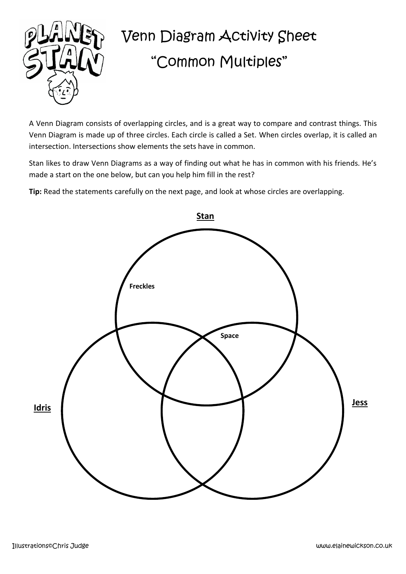

## Venn Diagram Activity Sheet "Common Multiples"

A Venn Diagram consists of overlapping circles, and is a great way to compare and contrast things. This Venn Diagram is made up of three circles. Each circle is called a Set. When circles overlap, it is called an intersection. Intersections show elements the sets have in common.

Stan likes to draw Venn Diagrams as a way of finding out what he has in common with his friends. He's made a start on the one below, but can you help him fill in the rest?

**Tip:** Read the statements carefully on the next page, and look at whose circles are overlapping.

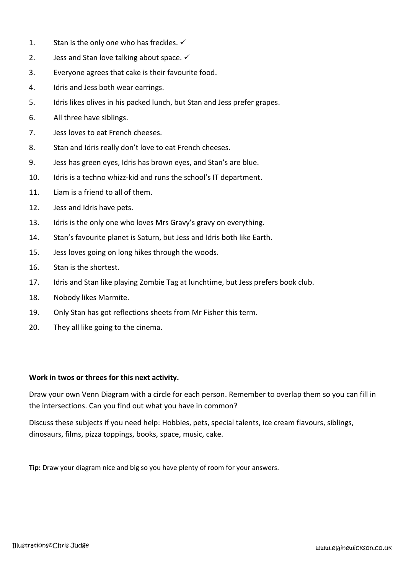- 1. Stan is the only one who has freckles.  $\checkmark$
- 2. Jess and Stan love talking about space.  $\checkmark$
- 3. Everyone agrees that cake is their favourite food.
- 4. Idris and Jess both wear earrings.
- 5. Idris likes olives in his packed lunch, but Stan and Jess prefer grapes.
- 6. All three have siblings.
- 7. Jess loves to eat French cheeses.
- 8. Stan and Idris really don't love to eat French cheeses.
- 9. Jess has green eyes, Idris has brown eyes, and Stan's are blue.
- 10. Idris is a techno whizz-kid and runs the school's IT department.
- 11. Liam is a friend to all of them.
- 12. Jess and Idris have pets.
- 13. Idris is the only one who loves Mrs Gravy's gravy on everything.
- 14. Stan's favourite planet is Saturn, but Jess and Idris both like Earth.
- 15. Jess loves going on long hikes through the woods.
- 16. Stan is the shortest.
- 17. Idris and Stan like playing Zombie Tag at lunchtime, but Jess prefers book club.
- 18. Nobody likes Marmite.
- 19. Only Stan has got reflections sheets from Mr Fisher this term.
- 20. They all like going to the cinema.

## **Work in twos or threes for this next activity.**

Draw your own Venn Diagram with a circle for each person. Remember to overlap them so you can fill in the intersections. Can you find out what you have in common?

Discuss these subjects if you need help: Hobbies, pets, special talents, ice cream flavours, siblings, dinosaurs, films, pizza toppings, books, space, music, cake.

**Tip:** Draw your diagram nice and big so you have plenty of room for your answers.